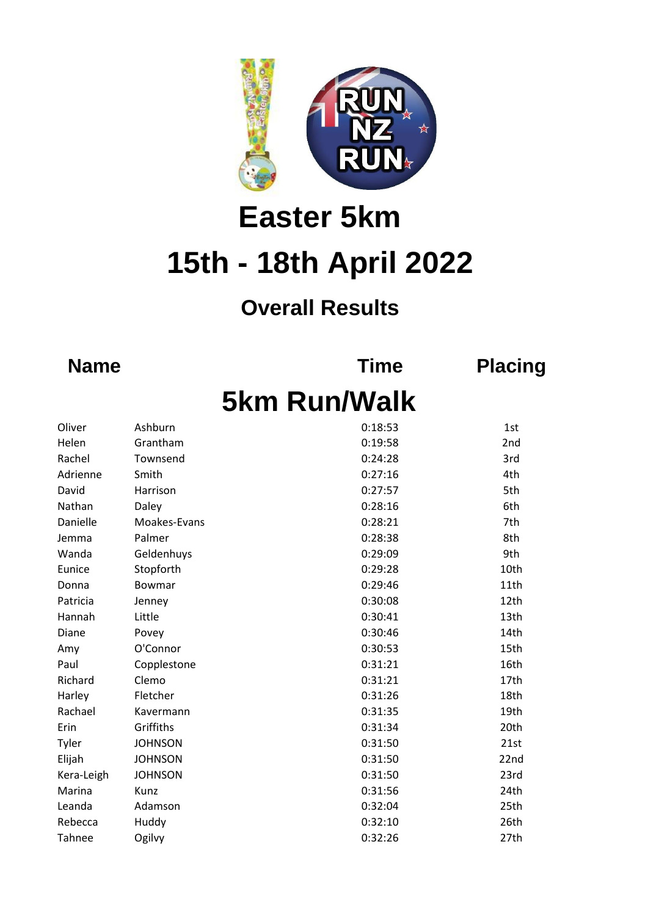

## **15th - 18th April 2022 Easter 5km**

## **Overall Results**

**Name Time Placing**

## **5km Run/Walk**

| Oliver     | Ashburn        | 0:18:53 | 1st              |
|------------|----------------|---------|------------------|
| Helen      | Grantham       | 0:19:58 | 2nd              |
| Rachel     | Townsend       | 0:24:28 | 3rd              |
| Adrienne   | Smith          | 0:27:16 | 4th              |
| David      | Harrison       | 0:27:57 | 5th              |
| Nathan     | Daley          | 0:28:16 | 6th              |
| Danielle   | Moakes-Evans   | 0:28:21 | 7th              |
| Jemma      | Palmer         | 0:28:38 | 8th              |
| Wanda      | Geldenhuys     | 0:29:09 | 9th              |
| Eunice     | Stopforth      | 0:29:28 | 10th             |
| Donna      | Bowmar         | 0:29:46 | 11th             |
| Patricia   | Jenney         | 0:30:08 | 12th             |
| Hannah     | Little         | 0:30:41 | 13 <sub>th</sub> |
| Diane      | Povey          | 0:30:46 | 14th             |
| Amy        | O'Connor       | 0:30:53 | 15th             |
| Paul       | Copplestone    | 0:31:21 | 16th             |
| Richard    | Clemo          | 0:31:21 | 17th             |
| Harley     | Fletcher       | 0:31:26 | 18th             |
| Rachael    | Kavermann      | 0:31:35 | 19th             |
| Erin       | Griffiths      | 0:31:34 | 20th             |
| Tyler      | <b>JOHNSON</b> | 0:31:50 | 21st             |
| Elijah     | <b>JOHNSON</b> | 0:31:50 | 22nd             |
| Kera-Leigh | <b>JOHNSON</b> | 0:31:50 | 23rd             |
| Marina     | Kunz           | 0:31:56 | 24th             |
| Leanda     | Adamson        | 0:32:04 | 25th             |
| Rebecca    | Huddy          | 0:32:10 | 26th             |
| Tahnee     | Ogilvy         | 0:32:26 | 27th             |
|            |                |         |                  |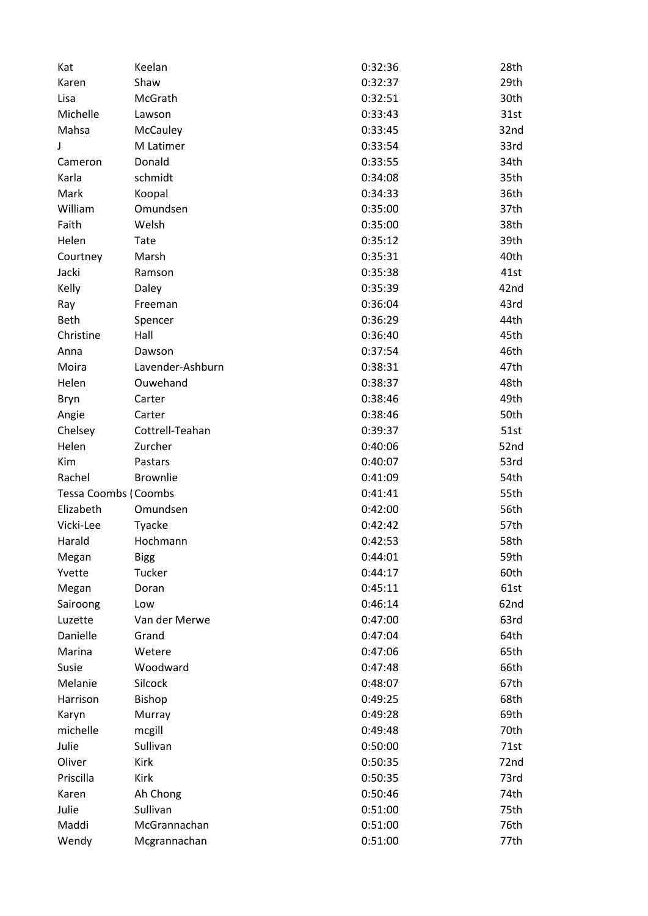| Kat                                      | Keelan           | 0:32:36 | 28th |
|------------------------------------------|------------------|---------|------|
| Karen                                    | Shaw             | 0:32:37 | 29th |
| Lisa                                     | McGrath          | 0:32:51 | 30th |
| Michelle                                 | Lawson           | 0:33:43 | 31st |
| Mahsa                                    | McCauley         | 0:33:45 | 32nd |
| J                                        | M Latimer        | 0:33:54 | 33rd |
| Cameron                                  | Donald           | 0:33:55 | 34th |
| Karla                                    | schmidt          | 0:34:08 | 35th |
| Mark                                     | Koopal           | 0:34:33 | 36th |
| William                                  | Omundsen         | 0:35:00 | 37th |
| Faith                                    | Welsh            | 0:35:00 | 38th |
| Helen                                    | Tate             | 0:35:12 | 39th |
| Courtney                                 | Marsh            | 0:35:31 | 40th |
| Jacki                                    | Ramson           | 0:35:38 | 41st |
| Kelly                                    | Daley            | 0:35:39 | 42nd |
| Ray                                      | Freeman          | 0:36:04 | 43rd |
| Beth                                     | Spencer          | 0:36:29 | 44th |
| Christine                                | Hall             | 0:36:40 | 45th |
| Anna                                     | Dawson           | 0:37:54 | 46th |
| Moira                                    | Lavender-Ashburn | 0:38:31 | 47th |
| Helen                                    | Ouwehand         | 0:38:37 | 48th |
| Bryn                                     | Carter           | 0:38:46 | 49th |
| Angie                                    | Carter           | 0:38:46 | 50th |
| Chelsey                                  | Cottrell-Teahan  | 0:39:37 | 51st |
| Helen                                    | Zurcher          | 0:40:06 | 52nd |
| Kim                                      | Pastars          | 0:40:07 | 53rd |
| Rachel                                   | <b>Brownlie</b>  | 0:41:09 | 54th |
|                                          |                  | 0:41:41 | 55th |
| <b>Tessa Coombs (Coombs</b><br>Elizabeth |                  |         |      |
|                                          | Omundsen         | 0:42:00 | 56th |
| Vicki-Lee                                | Tyacke           | 0:42:42 | 57th |
| Harald                                   | Hochmann         | 0:42:53 | 58th |
| Megan                                    | <b>Bigg</b>      | 0:44:01 | 59th |
| Yvette                                   | Tucker           | 0:44:17 | 60th |
| Megan                                    | Doran            | 0:45:11 | 61st |
| Sairoong                                 | Low              | 0:46:14 | 62nd |
| Luzette                                  | Van der Merwe    | 0:47:00 | 63rd |
| Danielle                                 | Grand            | 0:47:04 | 64th |
| Marina                                   | Wetere           | 0:47:06 | 65th |
| Susie                                    | Woodward         | 0:47:48 | 66th |
| Melanie                                  | Silcock          | 0:48:07 | 67th |
| Harrison                                 | <b>Bishop</b>    | 0:49:25 | 68th |
| Karyn                                    | Murray           | 0:49:28 | 69th |
| michelle                                 | mcgill           | 0:49:48 | 70th |
| Julie                                    | Sullivan         | 0:50:00 | 71st |
| Oliver                                   | Kirk             | 0:50:35 | 72nd |
| Priscilla                                | Kirk             | 0:50:35 | 73rd |
| Karen                                    | Ah Chong         | 0:50:46 | 74th |
| Julie                                    | Sullivan         | 0:51:00 | 75th |
| Maddi                                    | McGrannachan     | 0:51:00 | 76th |
| Wendy                                    | Mcgrannachan     | 0:51:00 | 77th |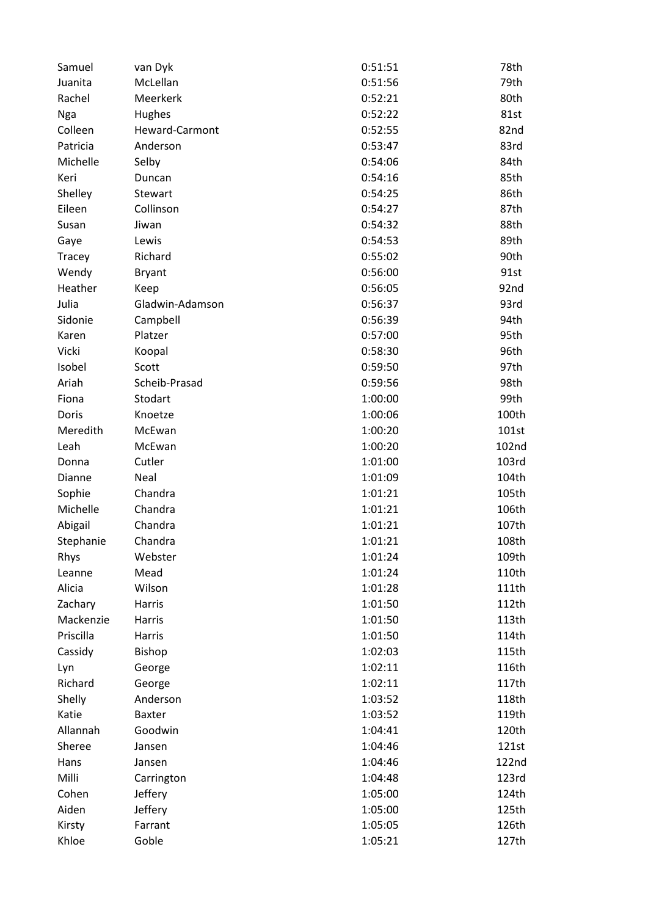| Samuel    | van Dyk         | 0:51:51 | 78th  |
|-----------|-----------------|---------|-------|
| Juanita   | McLellan        | 0:51:56 | 79th  |
| Rachel    | Meerkerk        | 0:52:21 | 80th  |
| Nga       | Hughes          | 0:52:22 | 81st  |
| Colleen   | Heward-Carmont  | 0:52:55 | 82nd  |
| Patricia  | Anderson        | 0:53:47 | 83rd  |
| Michelle  | Selby           | 0:54:06 | 84th  |
| Keri      | Duncan          | 0:54:16 | 85th  |
| Shelley   | Stewart         | 0:54:25 | 86th  |
| Eileen    | Collinson       | 0:54:27 | 87th  |
| Susan     | Jiwan           | 0:54:32 | 88th  |
| Gaye      | Lewis           | 0:54:53 | 89th  |
| Tracey    | Richard         | 0:55:02 | 90th  |
| Wendy     | <b>Bryant</b>   | 0:56:00 | 91st  |
| Heather   | Keep            | 0:56:05 | 92nd  |
| Julia     | Gladwin-Adamson | 0:56:37 | 93rd  |
| Sidonie   | Campbell        | 0:56:39 | 94th  |
| Karen     | Platzer         | 0:57:00 | 95th  |
| Vicki     | Koopal          | 0:58:30 | 96th  |
| Isobel    | Scott           | 0:59:50 | 97th  |
| Ariah     | Scheib-Prasad   | 0:59:56 | 98th  |
| Fiona     | Stodart         | 1:00:00 | 99th  |
| Doris     | Knoetze         | 1:00:06 | 100th |
| Meredith  | McEwan          | 1:00:20 | 101st |
| Leah      | McEwan          | 1:00:20 | 102nd |
| Donna     | Cutler          | 1:01:00 | 103rd |
| Dianne    | Neal            | 1:01:09 | 104th |
| Sophie    | Chandra         | 1:01:21 | 105th |
| Michelle  | Chandra         | 1:01:21 | 106th |
| Abigail   | Chandra         | 1:01:21 | 107th |
| Stephanie | Chandra         | 1:01:21 | 108th |
| Rhys      | Webster         | 1:01:24 | 109th |
| Leanne    | Mead            | 1:01:24 | 110th |
| Alicia    | Wilson          | 1:01:28 | 111th |
| Zachary   | Harris          | 1:01:50 | 112th |
| Mackenzie | Harris          | 1:01:50 | 113th |
| Priscilla | Harris          | 1:01:50 | 114th |
| Cassidy   | Bishop          | 1:02:03 | 115th |
| Lyn       | George          | 1:02:11 | 116th |
| Richard   | George          | 1:02:11 | 117th |
| Shelly    | Anderson        | 1:03:52 | 118th |
| Katie     | <b>Baxter</b>   | 1:03:52 | 119th |
| Allannah  | Goodwin         | 1:04:41 | 120th |
| Sheree    | Jansen          | 1:04:46 | 121st |
| Hans      | Jansen          | 1:04:46 | 122nd |
| Milli     | Carrington      | 1:04:48 | 123rd |
| Cohen     | Jeffery         | 1:05:00 | 124th |
| Aiden     | Jeffery         | 1:05:00 | 125th |
| Kirsty    | Farrant         | 1:05:05 | 126th |
| Khloe     | Goble           | 1:05:21 | 127th |
|           |                 |         |       |